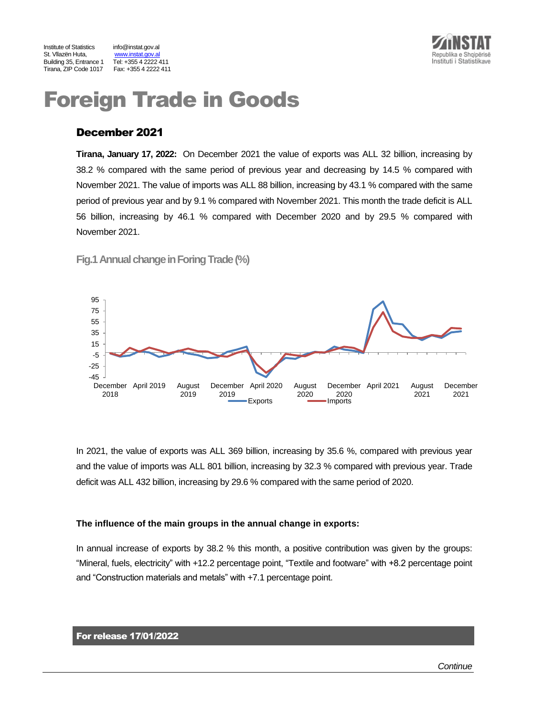

www.instat.gov.al<br>Tel: +355 4 2222 411



# Foreign Trade in Goods

## December 2021

**Tirana, January 17, 2022:** On December 2021 the value of exports was ALL 32 billion, increasing by 38.2 % compared with the same period of previous year and decreasing by 14.5 % compared with November 2021. The value of imports was ALL 88 billion, increasing by 43.1 % compared with the same period of previous year and by 9.1 % compared with November 2021. This month the trade deficit is ALL 56 billion, increasing by 46.1 % compared with December 2020 and by 29.5 % compared with November 2021.

**Fig.1 Annual change in Foring Trade(%)**



In 2021, the value of exports was ALL 369 billion, increasing by 35.6 %, compared with previous year and the value of imports was ALL 801 billion, increasing by 32.3 % compared with previous year. Trade deficit was ALL 432 billion, increasing by 29.6 % compared with the same period of 2020.

#### **The influence of the main groups in the annual change in exports:**

In annual increase of exports by 38.2 % this month, a positive contribution was given by the groups: "Mineral, fuels, electricity" with +12.2 percentage point, "Textile and footware" with +8.2 percentage point and "Construction materials and metals" with +7.1 percentage point.

#### For release 17/01/2022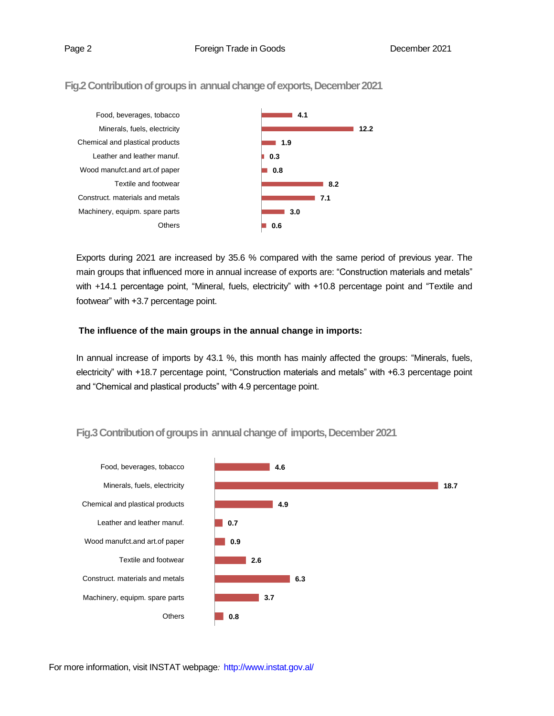#### **4.1 12.2 1.9 0.3 0.8 8.2 7.1 3.0 0.6** Food, beverages, tobacco Minerals, fuels, electricity Chemical and plastical products Leather and leather manuf. Wood manufct.and art.of paper Textile and footwear Construct. materials and metals Machinery, equipm. spare parts **Others**

Exports during 2021 are increased by 35.6 % compared with the same period of previous year. The main groups that influenced more in annual increase of exports are: "Construction materials and metals" with +14.1 percentage point, "Mineral, fuels, electricity" with +10.8 percentage point and "Textile and footwear" with +3.7 percentage point.

### **The influence of the main groups in the annual change in imports:**

In annual increase of imports by 43.1 %, this month has mainly affected the groups: "Minerals, fuels, electricity" with +18.7 percentage point, "Construction materials and metals" with +6.3 percentage point and "Chemical and plastical products" with 4.9 percentage point.



# **Fig.3Contribution of groups in annual change of imports, December2021**

Fig.2 Contribution of groups in annual change of exports, December 2021

For more information, visit INSTAT webpage*:* http://www.instat.gov.al/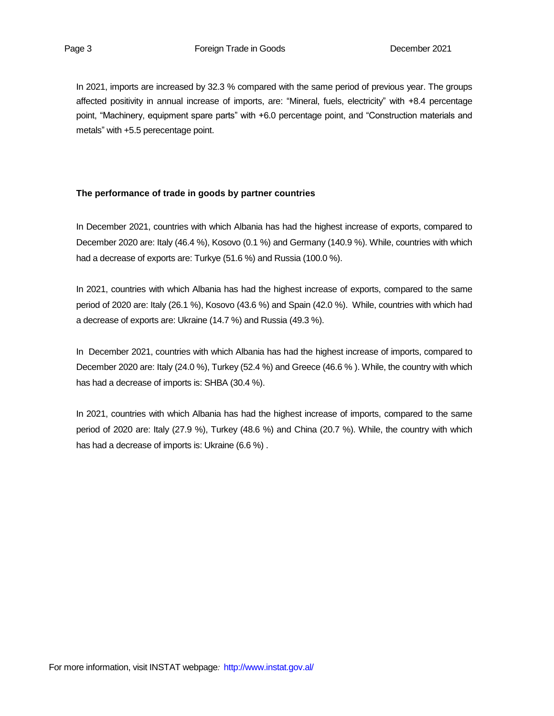In 2021, imports are increased by 32.3 % compared with the same period of previous year. The groups affected positivity in annual increase of imports, are: "Mineral, fuels, electricity" with +8.4 percentage point, "Machinery, equipment spare parts" with +6.0 percentage point, and "Construction materials and metals" with +5.5 perecentage point.

#### **The performance of trade in goods by partner countries**

In December 2021, countries with which Albania has had the highest increase of exports, compared to December 2020 are: Italy (46.4 %), Kosovo (0.1 %) and Germany (140.9 %). While, countries with which had a decrease of exports are: Turkye (51.6 %) and Russia (100.0 %).

In 2021, countries with which Albania has had the highest increase of exports, compared to the same period of 2020 are: Italy (26.1 %), Kosovo (43.6 %) and Spain (42.0 %). While, countries with which had a decrease of exports are: Ukraine (14.7 %) and Russia (49.3 %).

In December 2021, countries with which Albania has had the highest increase of imports, compared to December 2020 are: Italy (24.0 %), Turkey (52.4 %) and Greece (46.6 % ). While, the country with which has had a decrease of imports is: SHBA (30.4 %).

In 2021, countries with which Albania has had the highest increase of imports, compared to the same period of 2020 are: Italy (27.9 %), Turkey (48.6 %) and China (20.7 %). While, the country with which has had a decrease of imports is: Ukraine (6.6 %) .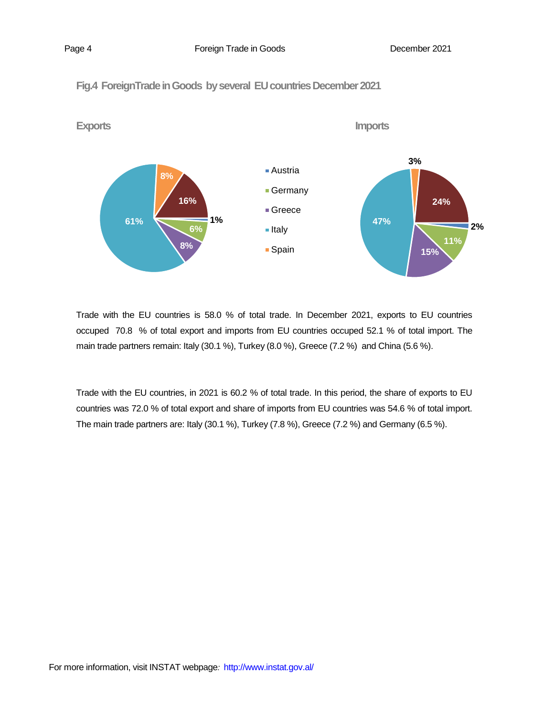Page 4 **Foreign Trade in Goods Page 4 December 2021** 





Trade with the EU countries is 58.0 % of total trade. In December 2021, exports to EU countries occuped 70.8 % of total export and imports from EU countries occuped 52.1 % of total import. The main trade partners remain: Italy (30.1 %), Turkey (8.0 %), Greece (7.2 %) and China (5.6 %).

Trade with the EU countries, in 2021 is 60.2 % of total trade. In this period, the share of exports to EU countries was 72.0 % of total export and share of imports from EU countries was 54.6 % of total import. The main trade partners are: Italy (30.1 %), Turkey (7.8 %), Greece (7.2 %) and Germany (6.5 %).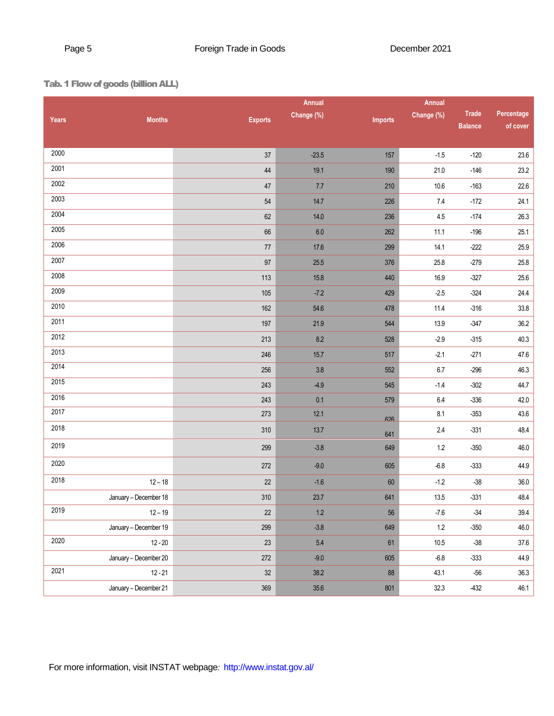# Tab. 1 Flow of goods (billionALL)

|              | <b>Annual</b>         |                |            |         | Annual     |                |            |
|--------------|-----------------------|----------------|------------|---------|------------|----------------|------------|
| <b>Years</b> | <b>Months</b>         | <b>Exports</b> | Change (%) | Imports | Change (%) | <b>Trade</b>   | Percentage |
|              |                       |                |            |         |            | <b>Balance</b> | of cover   |
| 2000         |                       | $37\,$         | $-23.5$    | 157     | $-1.5$     | $-120$         | 23.6       |
| 2001         |                       | $44\,$         | 19.1       | 190     | 21.0       | $-146$         | 23.2       |
| 2002         |                       | 47             | 7.7        | 210     | 10.6       | $-163$         | 22.6       |
| 2003         |                       | $54\,$         | 14.7       | 226     | 7.4        | $-172$         | 24.1       |
| 2004         |                       | $62\,$         | $14.0$     | 236     | $4.5\,$    | $-174$         | 26.3       |
| 2005         |                       | 66             | $6.0\,$    | 262     | 11.1       | $-196$         | 25.1       |
| 2006         |                       | $77\,$         | 17.6       | 299     | 14.1       | $-222$         | 25.9       |
| 2007         |                       | $97\,$         | $25.5\,$   | 376     | 25.8       | $-279$         | $25.8\,$   |
| 2008         |                       | 113            | $15.8$     | 440     | 16.9       | $-327$         | 25.6       |
| 2009         |                       | 105            | $-7.2$     | 429     | $-2.5$     | $-324$         | 24.4       |
| 2010         |                       | 162            | 54.6       | 478     | 11.4       | $-316$         | 33.8       |
| 2011         |                       | 197            | 21.9       | 544     | 13.9       | $-347$         | 36.2       |
| 2012         |                       | 213            | 8.2        | 528     | $-2.9$     | $-315$         | 40.3       |
| 2013         |                       | 246            | 15.7       | 517     | $-2.1$     | $-271$         | $47.6\,$   |
| 2014         |                       | 256            | $3.8\,$    | 552     | 6.7        | $-296$         | 46.3       |
| 2015         |                       | 243            | $-4.9$     | 545     | $-1.4$     | $-302$         | 44.7       |
| 2016         |                       | 243            | 0.1        | 579     | $6.4\,$    | $-336$         | 42.0       |
| 2017         |                       | 273            | 12.1       | 626     | 8.1        | $-353$         | 43.6       |
| 2018         |                       | 310            | $13.7$     | 641     | $2.4\,$    | $-331$         | 48.4       |
| 2019         |                       | 299            | $-3.8$     | 649     | $1.2\,$    | $-350$         | 46.0       |
| 2020         |                       | 272            | $-9.0$     | 605     | $-6.8$     | $-333$         | 44.9       |
| 2018         | $12 - 18$             | $22\,$         | $-1.6$     | 60      | $-1.2$     | $-38$          | 36.0       |
|              | January - December 18 | 310            | 23.7       | 641     | 13.5       | $-331$         | 48.4       |
| 2019         | $12 - 19$             | $22\,$         | $1.2\,$    | 56      | $-7.6$     | $-34$          | 39.4       |
|              | January - December 19 | 299            | $-3.8$     | 649     | $1.2\,$    | $-350$         | 46.0       |
| 2020         | $12 - 20$             | 23             | $5.4\,$    | 61      | $10.5$     | $-38$          | 37.6       |
|              | January - December 20 | 272            | $-9.0$     | 605     | $-6.8$     | $-333$         | 44.9       |
| 2021         | $12 - 21$             | $32\,$         | 38.2       | 88      | 43.1       | $-56$          | 36.3       |
|              | January - December 21 | 369            | $35.6\,$   | 801     | 32.3       | $-432$         | 46.1       |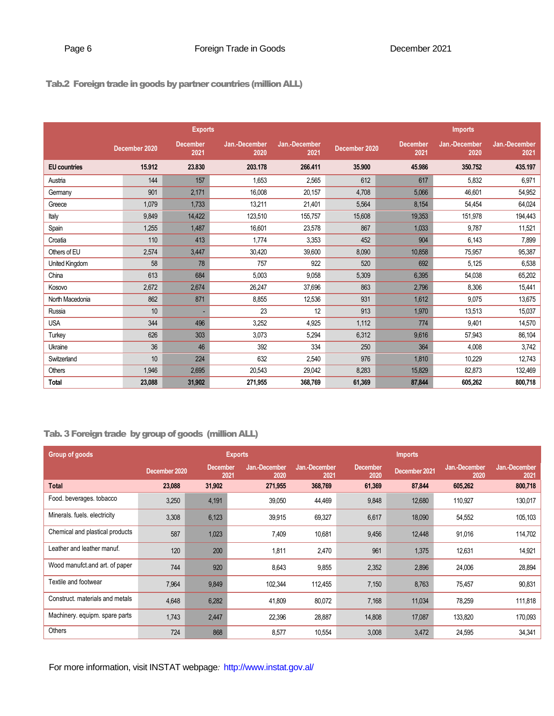# Tab.2 Foreign trade in goods by partner countries (million ALL)

|                       |               | <b>Exports</b>          |                       |                       | <b>Imports</b> |                         |                       |                       |  |
|-----------------------|---------------|-------------------------|-----------------------|-----------------------|----------------|-------------------------|-----------------------|-----------------------|--|
|                       | December 2020 | <b>December</b><br>2021 | Jan.-December<br>2020 | Jan.-December<br>2021 | December 2020  | <b>December</b><br>2021 | Jan.-December<br>2020 | Jan.-December<br>2021 |  |
| <b>EU</b> countries   | 15.912        | 23.830                  | 203.178               | 266,411               | 35.900         | 45.986                  | 350.752               | 435.197               |  |
| Austria               | 144           | 157                     | 1,653                 | 2,565                 | 612            | 617                     | 5,832                 | 6,971                 |  |
| Germany               | 901           | 2,171                   | 16,008                | 20,157                | 4,708          | 5,066                   | 46,601                | 54,952                |  |
| Greece                | 1,079         | 1,733                   | 13,211                | 21,401                | 5,564          | 8,154                   | 54,454                | 64,024                |  |
| Italy                 | 9,849         | 14,422                  | 123,510               | 155,757               | 15,608         | 19,353                  | 151,978               | 194,443               |  |
| Spain                 | 1,255         | 1,487                   | 16.601                | 23,578                | 867            | 1,033                   | 9,787                 | 11,521                |  |
| Croatia               | 110           | 413                     | 1.774                 | 3,353                 | 452            | 904                     | 6,143                 | 7,899                 |  |
| Others of EU          | 2,574         | 3,447                   | 30,420                | 39,600                | 8,090          | 10,858                  | 75,957                | 95,387                |  |
| <b>United Kingdom</b> | 58            | 78                      | 757                   | 922                   | 520            | 692                     | 5,125                 | 6,538                 |  |
| China                 | 613           | 684                     | 5,003                 | 9,058                 | 5,309          | 6,395                   | 54,038                | 65,202                |  |
| Kosovo                | 2,672         | 2,674                   | 26,247                | 37,696                | 863            | 2,796                   | 8,306                 | 15,441                |  |
| North Macedonia       | 862           | 871                     | 8,855                 | 12,536                | 931            | 1.612                   | 9,075                 | 13,675                |  |
| Russia                | 10            |                         | 23                    | 12                    | 913            | 1,970                   | 13,513                | 15,037                |  |
| <b>USA</b>            | 344           | 496                     | 3,252                 | 4,925                 | 1,112          | 774                     | 9,401                 | 14,570                |  |
| Turkey                | 626           | 303                     | 3,073                 | 5,294                 | 6,312          | 9,616                   | 57,943                | 86,104                |  |
| Ukraine               | 36            | 46                      | 392                   | 334                   | 250            | 364                     | 4,008                 | 3,742                 |  |
| Switzerland           | 10            | 224                     | 632                   | 2,540                 | 976            | 1,810                   | 10,229                | 12,743                |  |
| Others                | 1,946         | 2,695                   | 20,543                | 29,042                | 8,283          | 15,829                  | 82,873                | 132,469               |  |
| <b>Total</b>          | 23,088        | 31,902                  | 271,955               | 368,769               | 61,369         | 87,844                  | 605,262               | 800,718               |  |

# Tab. 3 Foreign trade by group of goods (million ALL)

| Group of goods                  | <b>Exports</b> |        |                                                  |                       |                  | <b>Imports</b> |                       |                       |  |
|---------------------------------|----------------|--------|--------------------------------------------------|-----------------------|------------------|----------------|-----------------------|-----------------------|--|
|                                 | December 2020  |        | Jan.-December<br><b>December</b><br>2021<br>2020 | Jan.-December<br>2021 | December<br>2020 | December 2021  | Jan.-December<br>2020 | Jan.-December<br>2021 |  |
| <b>Total</b>                    | 23,088         | 31,902 | 271,955                                          | 368,769               | 61,369           | 87,844         | 605,262               | 800,718               |  |
| Food. beverages. tobacco        | 3,250          | 4,191  | 39,050                                           | 44,469                | 9,848            | 12,680         | 110,927               | 130,017               |  |
| Minerals. fuels. electricity    | 3,308          | 6,123  | 39,915                                           | 69,327                | 6,617            | 18,090         | 54,552                | 105,103               |  |
| Chemical and plastical products | 587            | 1,023  | 7,409                                            | 10,681                | 9,456            | 12,448         | 91,016                | 114,702               |  |
| Leather and leather manuf.      | 120            | 200    | 1,811                                            | 2,470                 | 961              | 1,375          | 12,631                | 14,921                |  |
| Wood manufct and art. of paper  | 744            | 920    | 8,643                                            | 9,855                 | 2,352            | 2,896          | 24,006                | 28,894                |  |
| Textile and footwear            | 7,964          | 9,849  | 102,344                                          | 112,455               | 7,150            | 8,763          | 75,457                | 90,831                |  |
| Construct, materials and metals | 4,648          | 6,282  | 41,809                                           | 80,072                | 7,168            | 11,034         | 78,259                | 111,818               |  |
| Machinery. equipm. spare parts  | 1,743          | 2,447  | 22,396                                           | 28,887                | 14,808           | 17,087         | 133,820               | 170,093               |  |
| Others                          | 724            | 868    | 8,577                                            | 10,554                | 3,008            | 3,472          | 24,595                | 34,341                |  |

For more information, visit INSTAT webpage*:* http://www.instat.gov.al/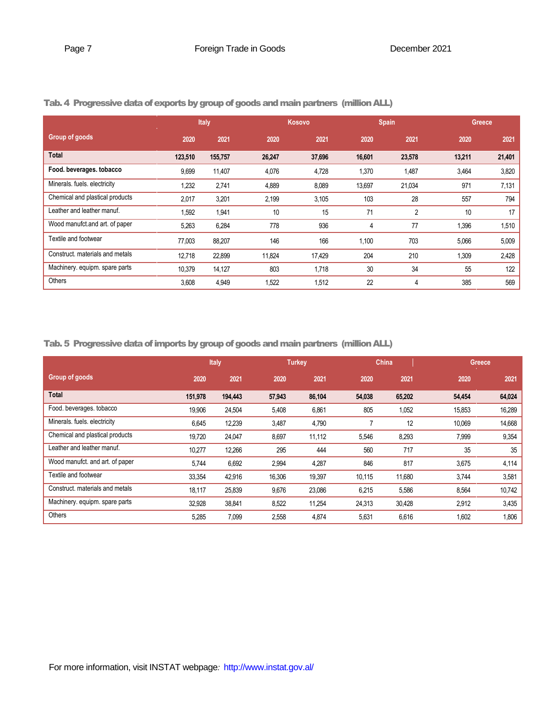|                                 | Italy   |         |        | Kosovo |        | <b>Spain</b>   |        | Greece, |  |
|---------------------------------|---------|---------|--------|--------|--------|----------------|--------|---------|--|
| Group of goods                  | 2020    | 2021    | 2020   | 2021   | 2020   | 2021           | 2020   | 2021    |  |
| <b>Total</b>                    | 123,510 | 155,757 | 26,247 | 37,696 | 16,601 | 23,578         | 13,211 | 21,401  |  |
| Food. beverages. tobacco        | 9,699   | 11,407  | 4,076  | 4,728  | 1,370  | 1,487          | 3,464  | 3,820   |  |
| Minerals. fuels. electricity    | 1,232   | 2,741   | 4,889  | 8,089  | 13,697 | 21,034         | 971    | 7,131   |  |
| Chemical and plastical products | 2,017   | 3,201   | 2,199  | 3,105  | 103    | 28             | 557    | 794     |  |
| Leather and leather manuf.      | 1,592   | 1,941   | 10     | 15     | 71     | $\overline{2}$ | 10     | 17      |  |
| Wood manufct and art. of paper  | 5,263   | 6,284   | 778    | 936    | 4      | 77             | 1,396  | 1,510   |  |
| Textile and footwear            | 77,003  | 88,207  | 146    | 166    | 1,100  | 703            | 5,066  | 5,009   |  |
| Construct. materials and metals | 12,718  | 22,899  | 11,824 | 17,429 | 204    | 210            | 1,309  | 2,428   |  |
| Machinery. equipm. spare parts  | 10,379  | 14,127  | 803    | 1,718  | 30     | 34             | 55     | 122     |  |
| Others                          | 3,608   | 4,949   | 1,522  | 1,512  | 22     | 4              | 385    | 569     |  |

## Tab. 4 Progressive data of exports by group of goods and main partners (million ALL)

Tab. 5 Progressive data of imports by group of goods and main partners (million ALL)

|                                 | Italy   |         | <b>Turkey</b> |        | China  |        | Greece |        |
|---------------------------------|---------|---------|---------------|--------|--------|--------|--------|--------|
| Group of goods                  | 2020    | 2021    | 2020          | 2021   | 2020   | 2021   | 2020   | 2021   |
| <b>Total</b>                    | 151,978 | 194,443 | 57,943        | 86,104 | 54,038 | 65,202 | 54,454 | 64,024 |
| Food. beverages. tobacco        | 19,906  | 24,504  | 5,408         | 6,861  | 805    | 1,052  | 15,853 | 16,289 |
| Minerals. fuels. electricity    | 6,645   | 12,239  | 3,487         | 4,790  |        | 12     | 10,069 | 14,668 |
| Chemical and plastical products | 19,720  | 24,047  | 8,697         | 11,112 | 5,546  | 8,293  | 7,999  | 9,354  |
| Leather and leather manuf.      | 10,277  | 12,266  | 295           | 444    | 560    | 717    | 35     | 35     |
| Wood manufct, and art, of paper | 5,744   | 6,692   | 2,994         | 4,287  | 846    | 817    | 3,675  | 4,114  |
| Textile and footwear            | 33,354  | 42,916  | 16,306        | 19,397 | 10,115 | 11,680 | 3,744  | 3,581  |
| Construct, materials and metals | 18.117  | 25,839  | 9,676         | 23,086 | 6,215  | 5,586  | 8,564  | 10,742 |
| Machinery. equipm. spare parts  | 32,928  | 38,841  | 8,522         | 11,254 | 24,313 | 30,428 | 2,912  | 3,435  |
| Others                          | 5,285   | 7,099   | 2,558         | 4,874  | 5,631  | 6,616  | 1,602  | 1,806  |